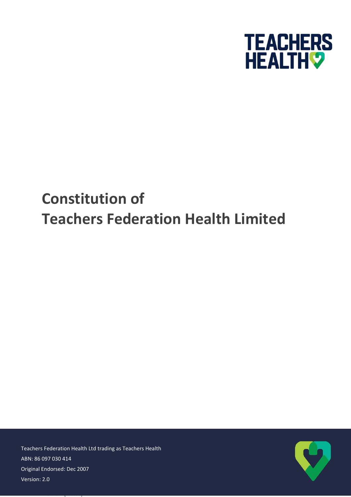

# **Constitution of Teachers Federation Health Limited**

Teachers Federation Health Ltd trading as Teachers Health ABN: 86 097 030 414 Original Endorsed: Dec 2007 Version: 2.0

Version: [Status]

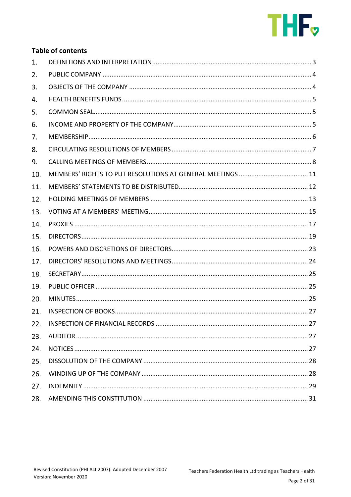

# **Table of contents**

| 1.  |  |
|-----|--|
| 2.  |  |
| 3.  |  |
| 4.  |  |
| 5.  |  |
| 6.  |  |
| 7.  |  |
| 8.  |  |
| 9.  |  |
| 10. |  |
| 11. |  |
| 12. |  |
| 13. |  |
| 14. |  |
| 15. |  |
| 16. |  |
| 17. |  |
| 18. |  |
| 19. |  |
| 20. |  |
| 21. |  |
|     |  |
| 23. |  |
| 24. |  |
| 25. |  |
| 26. |  |
| 27. |  |
| 28. |  |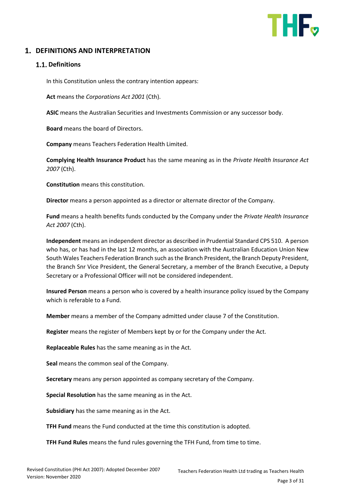

# <span id="page-2-0"></span>**1. DEFINITIONS AND INTERPRETATION**

### **1.1. Definitions**

In this Constitution unless the contrary intention appears:

**Act** means the *Corporations Act 2001* (Cth).

**ASIC** means the Australian Securities and Investments Commission or any successor body.

**Board** means the board of Directors.

**Company** means Teachers Federation Health Limited.

**Complying Health Insurance Product** has the same meaning as in the *Private Health Insurance Act 2007* (Cth).

**Constitution** means this constitution.

**Director** means a person appointed as a director or alternate director of the Company.

**Fund** means a health benefits funds conducted by the Company under the *Private Health Insurance Act 2007* (Cth).

**Independent** means an independent director as described in Prudential Standard CPS 510. A person who has, or has had in the last 12 months, an association with the Australian Education Union New South Wales Teachers Federation Branch such as the Branch President, the Branch Deputy President, the Branch Snr Vice President, the General Secretary, a member of the Branch Executive, a Deputy Secretary or a Professional Officer will not be considered independent.

**Insured Person** means a person who is covered by a health insurance policy issued by the Company which is referable to a Fund.

**Member** means a member of the Company admitted under clause 7 of the Constitution.

**Register** means the register of Members kept by or for the Company under the Act.

**Replaceable Rules** has the same meaning as in the Act.

**Seal** means the common seal of the Company.

**Secretary** means any person appointed as company secretary of the Company.

**Special Resolution** has the same meaning as in the Act.

**Subsidiary** has the same meaning as in the Act.

**TFH Fund** means the Fund conducted at the time this constitution is adopted.

**TFH Fund Rules** means the fund rules governing the TFH Fund, from time to time.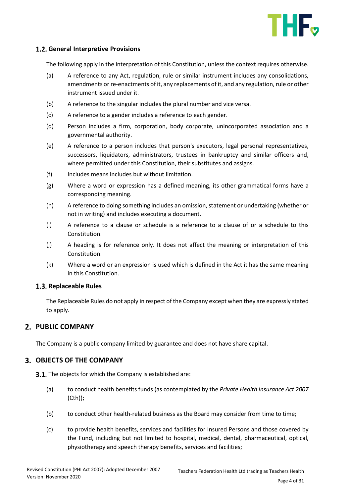

### **General Interpretive Provisions**

The following apply in the interpretation of this Constitution, unless the context requires otherwise.

- (a) A reference to any Act, regulation, rule or similar instrument includes any consolidations, amendments or re-enactments of it, any replacements of it, and any regulation, rule or other instrument issued under it.
- (b) A reference to the singular includes the plural number and vice versa.
- (c) A reference to a gender includes a reference to each gender.
- (d) Person includes a firm, corporation, body corporate, unincorporated association and a governmental authority.
- (e) A reference to a person includes that person's executors, legal personal representatives, successors, liquidators, administrators, trustees in bankruptcy and similar officers and, where permitted under this Constitution, their substitutes and assigns.
- (f) Includes means includes but without limitation.
- (g) Where a word or expression has a defined meaning, its other grammatical forms have a corresponding meaning.
- (h) A reference to doing something includes an omission, statement or undertaking (whether or not in writing) and includes executing a document.
- (i) A reference to a clause or schedule is a reference to a clause of or a schedule to this Constitution.
- (j) A heading is for reference only. It does not affect the meaning or interpretation of this Constitution.
- (k) Where a word or an expression is used which is defined in the Act it has the same meaning in this Constitution.

### **1.3. Replaceable Rules**

The Replaceable Rules do not apply in respect of the Company except when they are expressly stated to apply.

# <span id="page-3-0"></span>**PUBLIC COMPANY**

The Company is a public company limited by guarantee and does not have share capital.

### <span id="page-3-1"></span>**OBJECTS OF THE COMPANY**

**3.1.** The objects for which the Company is established are:

- (a) to conduct health benefits funds (as contemplated by the *Private Health Insurance Act 2007* (Cth));
- (b) to conduct other health-related business as the Board may consider from time to time;
- (c) to provide health benefits, services and facilities for Insured Persons and those covered by the Fund, including but not limited to hospital, medical, dental, pharmaceutical, optical, physiotherapy and speech therapy benefits, services and facilities;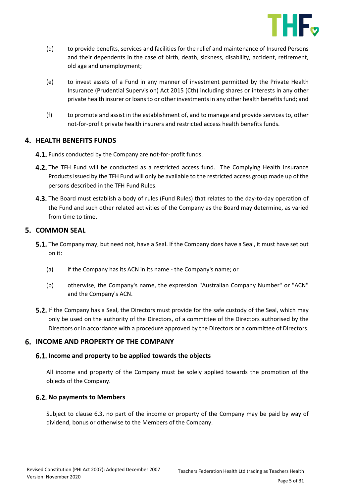

- (d) to provide benefits, services and facilities for the relief and maintenance of Insured Persons and their dependents in the case of birth, death, sickness, disability, accident, retirement, old age and unemployment;
- (e) to invest assets of a Fund in any manner of investment permitted by the Private Health Insurance (Prudential Supervision) Act 2015 (Cth) including shares or interests in any other private health insurer or loans to or other investments in any other health benefits fund; and
- (f) to promote and assist in the establishment of, and to manage and provide services to, other not-for-profit private health insurers and restricted access health benefits funds.

# <span id="page-4-0"></span>**4. HEALTH BENEFITS FUNDS**

- 4.1. Funds conducted by the Company are not-for-profit funds.
- 4.2. The TFH Fund will be conducted as a restricted access fund. The Complying Health Insurance Products issued by the TFH Fund will only be available to the restricted access group made up of the persons described in the TFH Fund Rules.
- 4.3. The Board must establish a body of rules (Fund Rules) that relates to the day-to-day operation of the Fund and such other related activities of the Company as the Board may determine, as varied from time to time.

# <span id="page-4-1"></span>**5. COMMON SEAL**

- **5.1.** The Company may, but need not, have a Seal. If the Company does have a Seal, it must have set out on it:
	- (a) if the Company has its ACN in its name the Company's name; or
	- (b) otherwise, the Company's name, the expression "Australian Company Number" or "ACN" and the Company's ACN.
- **5.2.** If the Company has a Seal, the Directors must provide for the safe custody of the Seal, which may only be used on the authority of the Directors, of a committee of the Directors authorised by the Directors or in accordance with a procedure approved by the Directors or a committee of Directors.

# <span id="page-4-2"></span>**INCOME AND PROPERTY OF THE COMPANY**

# **Income and property to be applied towards the objects**

All income and property of the Company must be solely applied towards the promotion of the objects of the Company.

# **6.2. No payments to Members**

Subject to clause [6.3,](#page-5-1) no part of the income or property of the Company may be paid by way of dividend, bonus or otherwise to the Members of the Company.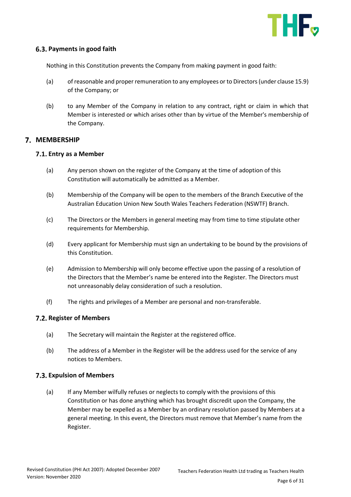

### <span id="page-5-1"></span>**Payments in good faith**

Nothing in this Constitution prevents the Company from making payment in good faith:

- (a) of reasonable and proper remuneration to any employees or to Directors (under clause 15.9) of the Company; or
- (b) to any Member of the Company in relation to any contract, right or claim in which that Member is interested or which arises other than by virtue of the Member's membership of the Company.

### <span id="page-5-0"></span>**7. MEMBERSHIP**

### **Entry as a Member**

- (a) Any person shown on the register of the Company at the time of adoption of this Constitution will automatically be admitted as a Member.
- (b) Membership of the Company will be open to the members of the Branch Executive of the Australian Education Union New South Wales Teachers Federation (NSWTF) Branch.
- (c) The Directors or the Members in general meeting may from time to time stipulate other requirements for Membership.
- (d) Every applicant for Membership must sign an undertaking to be bound by the provisions of this Constitution.
- (e) Admission to Membership will only become effective upon the passing of a resolution of the Directors that the Member's name be entered into the Register. The Directors must not unreasonably delay consideration of such a resolution.
- (f) The rights and privileges of a Member are personal and non-transferable.

### **Register of Members**

- (a) The Secretary will maintain the Register at the registered office.
- (b) The address of a Member in the Register will be the address used for the service of any notices to Members.

### **Expulsion of Members**

(a) If any Member wilfully refuses or neglects to comply with the provisions of this Constitution or has done anything which has brought discredit upon the Company, the Member may be expelled as a Member by an ordinary resolution passed by Members at a general meeting. In this event, the Directors must remove that Member's name from the Register.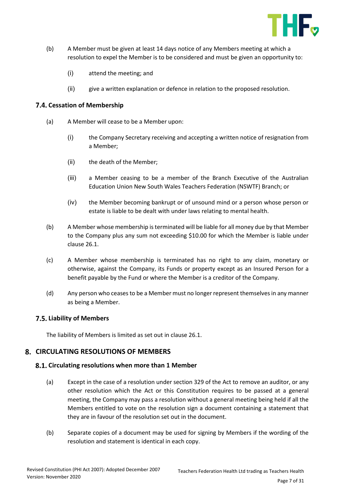

- (b) A Member must be given at least 14 days notice of any Members meeting at which a resolution to expel the Member is to be considered and must be given an opportunity to:
	- (i) attend the meeting; and
	- (ii) give a written explanation or defence in relation to the proposed resolution.

### **7.4. Cessation of Membership**

- (a) A Member will cease to be a Member upon:
	- (i) the Company Secretary receiving and accepting a written notice of resignation from a Member;
	- (ii) the death of the Member;
	- (iii) a Member ceasing to be a member of the Branch Executive of the Australian Education Union New South Wales Teachers Federation (NSWTF) Branch; or
	- (iv) the Member becoming bankrupt or of unsound mind or a person whose person or estate is liable to be dealt with under laws relating to mental health.
- (b) A Member whose membership is terminated will be liable for all money due by that Member to the Company plus any sum not exceeding \$10.00 for which the Member is liable under clause 26.1.
- (c) A Member whose membership is terminated has no right to any claim, monetary or otherwise, against the Company, its Funds or property except as an Insured Person for a benefit payable by the Fund or where the Member is a creditor of the Company.
- (d) Any person who ceases to be a Member must no longer represent themselves in any manner as being a Member.

### **Liability of Members**

The liability of Members is limited as set out in clause 26.1.

### <span id="page-6-0"></span>**CIRCULATING RESOLUTIONS OF MEMBERS**

### **Circulating resolutions when more than 1 Member**

- (a) Except in the case of a resolution under section 329 of the Act to remove an auditor, or any other resolution which the Act or this Constitution requires to be passed at a general meeting, the Company may pass a resolution without a general meeting being held if all the Members entitled to vote on the resolution sign a document containing a statement that they are in favour of the resolution set out in the document.
- (b) Separate copies of a document may be used for signing by Members if the wording of the resolution and statement is identical in each copy.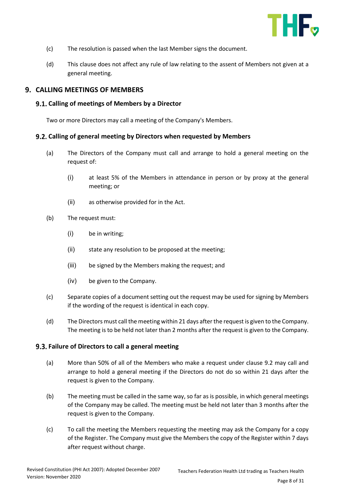

- (c) The resolution is passed when the last Member signs the document.
- (d) This clause does not affect any rule of law relating to the assent of Members not given at a general meeting.

### <span id="page-7-0"></span>**CALLING MEETINGS OF MEMBERS**

### **Calling of meetings of Members by a Director**

Two or more Directors may call a meeting of the Company's Members.

### <span id="page-7-1"></span>**Calling of general meeting by Directors when requested by Members**

- (a) The Directors of the Company must call and arrange to hold a general meeting on the request of:
	- (i) at least 5% of the Members in attendance in person or by proxy at the general meeting; or
	- (ii) as otherwise provided for in the Act.
- (b) The request must:
	- (i) be in writing;
	- (ii) state any resolution to be proposed at the meeting;
	- (iii) be signed by the Members making the request; and
	- (iv) be given to the Company.
- (c) Separate copies of a document setting out the request may be used for signing by Members if the wording of the request is identical in each copy.
- (d) The Directors must call the meeting within 21 days after the request is given to the Company. The meeting is to be held not later than 2 months after the request is given to the Company.

### **Failure of Directors to call a general meeting**

- (a) More than 50% of all of the Members who make a request under clause [9.2](#page-7-1) may call and arrange to hold a general meeting if the Directors do not do so within 21 days after the request is given to the Company.
- (b) The meeting must be called in the same way, so far as is possible, in which general meetings of the Company may be called. The meeting must be held not later than 3 months after the request is given to the Company.
- (c) To call the meeting the Members requesting the meeting may ask the Company for a copy of the Register. The Company must give the Members the copy of the Register within 7 days after request without charge.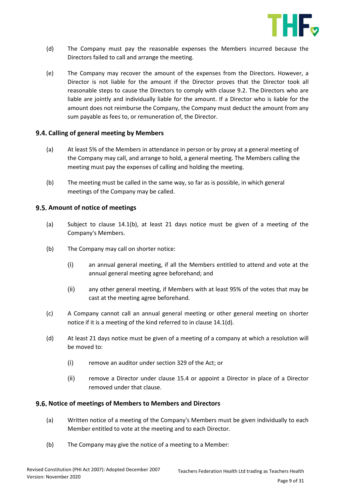

- (d) The Company must pay the reasonable expenses the Members incurred because the Directors failed to call and arrange the meeting.
- (e) The Company may recover the amount of the expenses from the Directors. However, a Director is not liable for the amount if the Director proves that the Director took all reasonable steps to cause the Directors to comply with clause [9.2.](#page-7-1) The Directors who are liable are jointly and individually liable for the amount. If a Director who is liable for the amount does not reimburse the Company, the Company must deduct the amount from any sum payable as fees to, or remuneration of, the Director.

### **Calling of general meeting by Members**

- (a) At least 5% of the Members in attendance in person or by proxy at a general meeting of the Company may call, and arrange to hold, a general meeting. The Members calling the meeting must pay the expenses of calling and holding the meeting.
- (b) The meeting must be called in the same way, so far as is possible, in which general meetings of the Company may be called.

### **9.5. Amount of notice of meetings**

- (a) Subject to clause [14.1\(b\),](#page-8-0) at least 21 days notice must be given of a meeting of the Company's Members.
- <span id="page-8-0"></span>(b) The Company may call on shorter notice:
	- (i) an annual general meeting, if all the Members entitled to attend and vote at the annual general meeting agree beforehand; and
	- (ii) any other general meeting, if Members with at least 95% of the votes that may be cast at the meeting agree beforehand.
- (c) A Company cannot call an annual general meeting or other general meeting on shorter notice if it is a meeting of the kind referred to in clause [14.1\(d\).](#page-8-1)
- <span id="page-8-1"></span>(d) At least 21 days notice must be given of a meeting of a company at which a resolution will be moved to:
	- (i) remove an auditor under section 329 of the Act; or
	- (ii) remove a Director under clause 15.4 or appoint a Director in place of a Director removed under that clause.

### **Notice of meetings of Members to Members and Directors**

- (a) Written notice of a meeting of the Company's Members must be given individually to each Member entitled to vote at the meeting and to each Director.
- (b) The Company may give the notice of a meeting to a Member: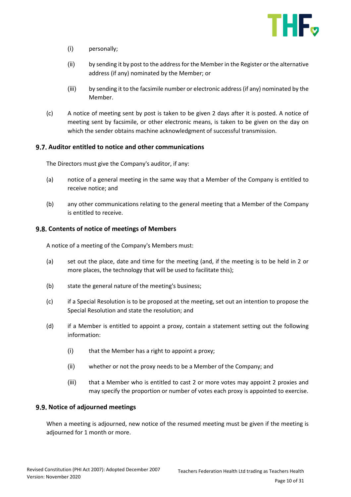

- (i) personally;
- (ii) by sending it by post to the address for the Member in the Register or the alternative address (if any) nominated by the Member; or
- (iii) by sending it to the facsimile number or electronic address (if any) nominated by the Member.
- (c) A notice of meeting sent by post is taken to be given 2 days after it is posted. A notice of meeting sent by facsimile, or other electronic means, is taken to be given on the day on which the sender obtains machine acknowledgment of successful transmission.

### **Auditor entitled to notice and other communications**

The Directors must give the Company's auditor, if any:

- (a) notice of a general meeting in the same way that a Member of the Company is entitled to receive notice; and
- (b) any other communications relating to the general meeting that a Member of the Company is entitled to receive.

### **9.8. Contents of notice of meetings of Members**

A notice of a meeting of the Company's Members must:

- (a) set out the place, date and time for the meeting (and, if the meeting is to be held in 2 or more places, the technology that will be used to facilitate this);
- (b) state the general nature of the meeting's business;
- (c) if a Special Resolution is to be proposed at the meeting, set out an intention to propose the Special Resolution and state the resolution; and
- (d) if a Member is entitled to appoint a proxy, contain a statement setting out the following information:
	- (i) that the Member has a right to appoint a proxy;
	- (ii) whether or not the proxy needs to be a Member of the Company; and
	- (iii) that a Member who is entitled to cast 2 or more votes may appoint 2 proxies and may specify the proportion or number of votes each proxy is appointed to exercise.

### **9.9. Notice of adjourned meetings**

When a meeting is adjourned, new notice of the resumed meeting must be given if the meeting is adjourned for 1 month or more.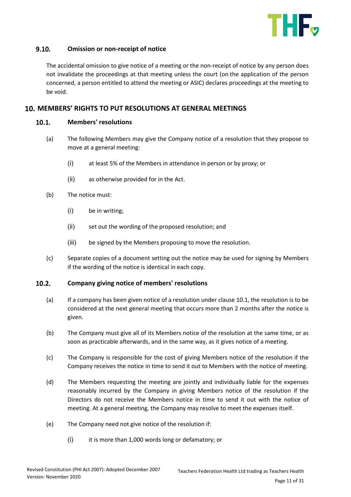

#### $9.10.$ **Omission or non-receipt of notice**

The accidental omission to give notice of a meeting or the non-receipt of notice by any person does not invalidate the proceedings at that meeting unless the court (on the application of the person concerned, a person entitled to attend the meeting or ASIC) declares proceedings at the meeting to be void.

### <span id="page-10-1"></span><span id="page-10-0"></span>**MEMBERS' RIGHTS TO PUT RESOLUTIONS AT GENERAL MEETINGS**

#### $10.1.$ **Members' resolutions**

- (a) The following Members may give the Company notice of a resolution that they propose to move at a general meeting:
	- (i) at least 5% of the Members in attendance in person or by proxy; or
	- (ii) as otherwise provided for in the Act.
- (b) The notice must:
	- (i) be in writing;
	- (ii) set out the wording of the proposed resolution; and
	- (iii) be signed by the Members proposing to move the resolution.
- (c) Separate copies of a document setting out the notice may be used for signing by Members if the wording of the notice is identical in each copy.

#### $10.2.$ **Company giving notice of members' resolutions**

- (a) If a company has been given notice of a resolution under claus[e 10.1,](#page-10-1) the resolution is to be considered at the next general meeting that occurs more than 2 months after the notice is given.
- (b) The Company must give all of its Members notice of the resolution at the same time, or as soon as practicable afterwards, and in the same way, as it gives notice of a meeting.
- (c) The Company is responsible for the cost of giving Members notice of the resolution if the Company receives the notice in time to send it out to Members with the notice of meeting.
- (d) The Members requesting the meeting are jointly and individually liable for the expenses reasonably incurred by the Company in giving Members notice of the resolution if the Directors do not receive the Members notice in time to send it out with the notice of meeting. At a general meeting, the Company may resolve to meet the expenses itself.
- (e) The Company need not give notice of the resolution if:
	- (i) it is more than 1,000 words long or defamatory; or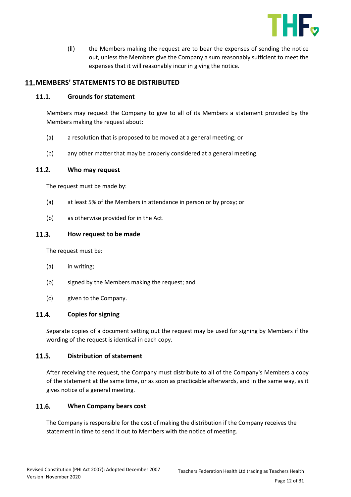

(ii) the Members making the request are to bear the expenses of sending the notice out, unless the Members give the Company a sum reasonably sufficient to meet the expenses that it will reasonably incur in giving the notice.

# <span id="page-11-0"></span>**MEMBERS' STATEMENTS TO BE DISTRIBUTED**

#### $11.1.$ **Grounds for statement**

Members may request the Company to give to all of its Members a statement provided by the Members making the request about:

- (a) a resolution that is proposed to be moved at a general meeting; or
- (b) any other matter that may be properly considered at a general meeting.

#### $11.2.$ **Who may request**

The request must be made by:

- (a) at least 5% of the Members in attendance in person or by proxy; or
- (b) as otherwise provided for in the Act.

#### $11.3.$ **How request to be made**

The request must be:

- (a) in writing;
- (b) signed by the Members making the request; and
- (c) given to the Company.

#### $11.4.$ **Copies for signing**

Separate copies of a document setting out the request may be used for signing by Members if the wording of the request is identical in each copy.

#### $11.5.$ **Distribution of statement**

After receiving the request, the Company must distribute to all of the Company's Members a copy of the statement at the same time, or as soon as practicable afterwards, and in the same way, as it gives notice of a general meeting.

#### $11.6.$ **When Company bears cost**

The Company is responsible for the cost of making the distribution if the Company receives the statement in time to send it out to Members with the notice of meeting.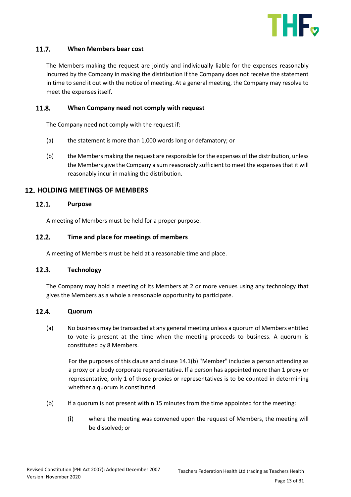

#### $11.7.$ **When Members bear cost**

The Members making the request are jointly and individually liable for the expenses reasonably incurred by the Company in making the distribution if the Company does not receive the statement in time to send it out with the notice of meeting. At a general meeting, the Company may resolve to meet the expenses itself.

#### $11.8.$ **When Company need not comply with request**

The Company need not comply with the request if:

- (a) the statement is more than 1,000 words long or defamatory; or
- (b) the Members making the request are responsible for the expenses of the distribution, unless the Members give the Company a sum reasonably sufficient to meet the expenses that it will reasonably incur in making the distribution.

### <span id="page-12-0"></span>**12. HOLDING MEETINGS OF MEMBERS**

#### $12.1.$ **Purpose**

A meeting of Members must be held for a proper purpose.

#### $12.2.$ **Time and place for meetings of members**

A meeting of Members must be held at a reasonable time and place.

### $12.3.$ **Technology**

The Company may hold a meeting of its Members at 2 or more venues using any technology that gives the Members as a whole a reasonable opportunity to participate.

### $12.4.$ **Quorum**

(a) No business may be transacted at any general meeting unless a quorum of Members entitled to vote is present at the time when the meeting proceeds to business. A quorum is constituted by 8 Members.

For the purposes of this clause and claus[e 14.1\(b\)](#page-12-1) "Member" includes a person attending as a proxy or a body corporate representative. If a person has appointed more than 1 proxy or representative, only 1 of those proxies or representatives is to be counted in determining whether a quorum is constituted.

- <span id="page-12-1"></span>(b) If a quorum is not present within 15 minutes from the time appointed for the meeting:
	- (i) where the meeting was convened upon the request of Members, the meeting will be dissolved; or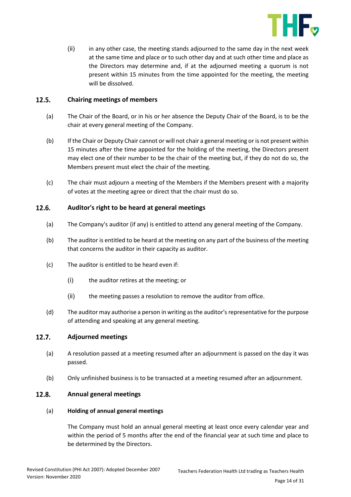

(ii) in any other case, the meeting stands adjourned to the same day in the next week at the same time and place or to such other day and at such other time and place as the Directors may determine and, if at the adjourned meeting a quorum is not present within 15 minutes from the time appointed for the meeting, the meeting will be dissolved.

#### $12.5.$ **Chairing meetings of members**

- (a) The Chair of the Board, or in his or her absence the Deputy Chair of the Board, is to be the chair at every general meeting of the Company.
- (b) If the Chair or Deputy Chair cannot or will not chair a general meeting or is not present within 15 minutes after the time appointed for the holding of the meeting, the Directors present may elect one of their number to be the chair of the meeting but, if they do not do so, the Members present must elect the chair of the meeting.
- (c) The chair must adjourn a meeting of the Members if the Members present with a majority of votes at the meeting agree or direct that the chair must do so.

#### $12.6.$ **Auditor's right to be heard at general meetings**

- (a) The Company's auditor (if any) is entitled to attend any general meeting of the Company.
- (b) The auditor is entitled to be heard at the meeting on any part of the business of the meeting that concerns the auditor in their capacity as auditor.
- (c) The auditor is entitled to be heard even if:
	- (i) the auditor retires at the meeting; or
	- (ii) the meeting passes a resolution to remove the auditor from office.
- (d) The auditor may authorise a person in writing as the auditor's representative for the purpose of attending and speaking at any general meeting.

#### $12.7.$ **Adjourned meetings**

- (a) A resolution passed at a meeting resumed after an adjournment is passed on the day it was passed.
- (b) Only unfinished business is to be transacted at a meeting resumed after an adjournment.

#### $12.8.$ **Annual general meetings**

### (a) **Holding of annual general meetings**

The Company must hold an annual general meeting at least once every calendar year and within the period of 5 months after the end of the financial year at such time and place to be determined by the Directors.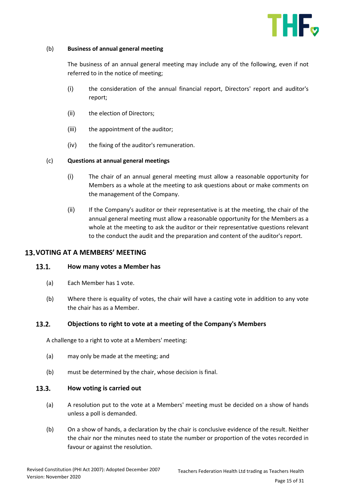

### (b) **Business of annual general meeting**

The business of an annual general meeting may include any of the following, even if not referred to in the notice of meeting;

- (i) the consideration of the annual financial report, Directors' report and auditor's report;
- (ii) the election of Directors;
- (iii) the appointment of the auditor;
- (iv) the fixing of the auditor's remuneration.

### (c) **Questions at annual general meetings**

- (i) The chair of an annual general meeting must allow a reasonable opportunity for Members as a whole at the meeting to ask questions about or make comments on the management of the Company.
- (ii) If the Company's auditor or their representative is at the meeting, the chair of the annual general meeting must allow a reasonable opportunity for the Members as a whole at the meeting to ask the auditor or their representative questions relevant to the conduct the audit and the preparation and content of the auditor's report.

### <span id="page-14-0"></span>13. VOTING AT A MEMBERS' MEETING

#### $13.1.$ **How many votes a Member has**

- (a) Each Member has 1 vote.
- (b) Where there is equality of votes, the chair will have a casting vote in addition to any vote the chair has as a Member.

#### $13.2.$ **Objections to right to vote at a meeting of the Company's Members**

A challenge to a right to vote at a Members' meeting:

- (a) may only be made at the meeting; and
- (b) must be determined by the chair, whose decision is final.

#### $13.3.$ **How voting is carried out**

- (a) A resolution put to the vote at a Members' meeting must be decided on a show of hands unless a poll is demanded.
- (b) On a show of hands, a declaration by the chair is conclusive evidence of the result. Neither the chair nor the minutes need to state the number or proportion of the votes recorded in favour or against the resolution.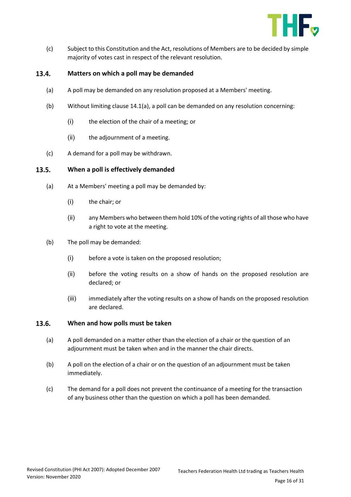

(c) Subject to this Constitution and the Act, resolutions of Members are to be decided by simple majority of votes cast in respect of the relevant resolution.

#### <span id="page-15-0"></span>13.4. **Matters on which a poll may be demanded**

- (a) A poll may be demanded on any resolution proposed at a Members' meeting.
- (b) Without limiting claus[e 14.1\(a\),](#page-15-0) a poll can be demanded on any resolution concerning:
	- (i) the election of the chair of a meeting; or
	- (ii) the adjournment of a meeting.
- (c) A demand for a poll may be withdrawn.

#### $13.5.$ **When a poll is effectively demanded**

- (a) At a Members' meeting a poll may be demanded by:
	- (i) the chair; or
	- (ii) any Members who between them hold 10% of the voting rights of all those who have a right to vote at the meeting.
- (b) The poll may be demanded:
	- (i) before a vote is taken on the proposed resolution;
	- (ii) before the voting results on a show of hands on the proposed resolution are declared; or
	- (iii) immediately after the voting results on a show of hands on the proposed resolution are declared.

#### $13.6.$ **When and how polls must be taken**

- (a) A poll demanded on a matter other than the election of a chair or the question of an adjournment must be taken when and in the manner the chair directs.
- (b) A poll on the election of a chair or on the question of an adjournment must be taken immediately.
- (c) The demand for a poll does not prevent the continuance of a meeting for the transaction of any business other than the question on which a poll has been demanded.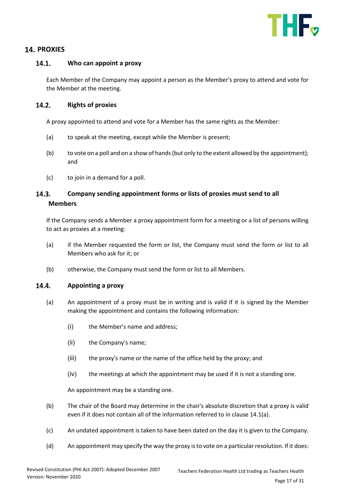

# <span id="page-16-0"></span>**14. PROXIES**

#### $14.1.$ **Who can appoint a proxy**

Each Member of the Company may appoint a person as the Member's proxy to attend and vote for the Member at the meeting.

#### $14.2.$ **Rights of proxies**

A proxy appointed to attend and vote for a Member has the same rights as the Member:

- (a) to speak at the meeting, except while the Member is present;
- (b) to vote on a poll and on a show of hands (but only to the extent allowed by the appointment); and
- (c) to join in a demand for a poll.

### $14.3.$ **Company sending appointment forms or lists of proxies must send to all Members**

If the Company sends a Member a proxy appointment form for a meeting or a list of persons willing to act as proxies at a meeting:

- (a) if the Member requested the form or list, the Company must send the form or list to all Members who ask for it; or
- (b) otherwise, the Company must send the form or list to all Members.

#### <span id="page-16-1"></span> $14.4.$ **Appointing a proxy**

- (a) An appointment of a proxy must be in writing and is valid if it is signed by the Member making the appointment and contains the following information:
	- (i) the Member's name and address;
	- (ii) the Company's name;
	- (iii) the proxy's name or the name of the office held by the proxy; and
	- (iv) the meetings at which the appointment may be used if it is not a standing one.

An appointment may be a standing one.

- (b) The chair of the Board may determine in the chair's absolute discretion that a proxy is valid even if it does not contain all of the information referred to in claus[e 14.1\(a\).](#page-16-1)
- (c) An undated appointment is taken to have been dated on the day it is given to the Company.
- (d) An appointment may specify the way the proxy is to vote on a particular resolution. If it does: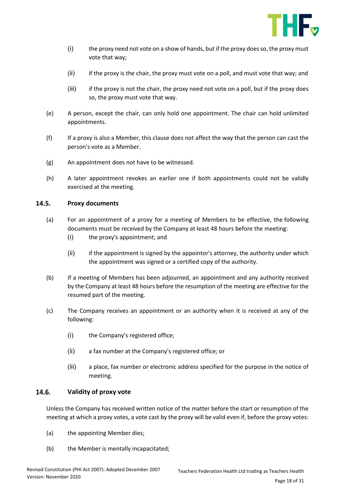

- (i) the proxy need not vote on a show of hands, but if the proxy does so, the proxy must vote that way;
- (ii) if the proxy is the chair, the proxy must vote on a poll, and must vote that way; and
- (iii) if the proxy is not the chair, the proxy need not vote on a poll, but if the proxy does so, the proxy must vote that way.
- (e) A person, except the chair, can only hold one appointment. The chair can hold unlimited appointments.
- (f) If a proxy is also a Member, this clause does not affect the way that the person can cast the person's vote as a Member.
- (g) An appointment does not have to be witnessed.
- (h) A later appointment revokes an earlier one if both appointments could not be validly exercised at the meeting.

#### 14.5. **Proxy documents**

- (a) For an appointment of a proxy for a meeting of Members to be effective, the following documents must be received by the Company at least 48 hours before the meeting:
	- (i) the proxy's appointment; and
	- (ii) if the appointment is signed by the appointor's attorney, the authority under which the appointment was signed or a certified copy of the authority.
- (b) If a meeting of Members has been adjourned, an appointment and any authority received by the Company at least 48 hours before the resumption of the meeting are effective for the resumed part of the meeting.
- (c) The Company receives an appointment or an authority when it is received at any of the following:
	- (i) the Company's registered office;
	- (ii) a fax number at the Company's registered office; or
	- (iii) a place, fax number or electronic address specified for the purpose in the notice of meeting.

#### 14.6. **Validity of proxy vote**

Unless the Company has received written notice of the matter before the start or resumption of the meeting at which a proxy votes, a vote cast by the proxy will be valid even if, before the proxy votes:

- (a) the appointing Member dies;
- (b) the Member is mentally incapacitated;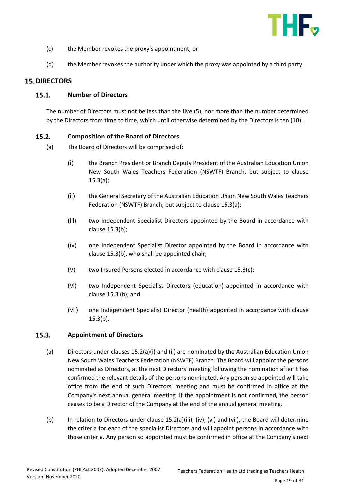

- (c) the Member revokes the proxy's appointment; or
- (d) the Member revokes the authority under which the proxy was appointed by a third party.

### <span id="page-18-0"></span>**15. DIRECTORS**

### **Number of Directors**  $15.1.$

The number of Directors must not be less than the five (5), nor more than the number determined by the Directors from time to time, which until otherwise determined by the Directors is ten (10).

#### $15.2.$ **Composition of the Board of Directors**

- (a) The Board of Directors will be comprised of:
	- (i) the Branch President or Branch Deputy President of the Australian Education Union New South Wales Teachers Federation (NSWTF) Branch, but subject to clause 15.3(a);
	- (ii) the General Secretary of the Australian Education Union New South Wales Teachers Federation (NSWTF) Branch, but subject to clause 15.3(a);
	- (iii) two Independent Specialist Directors appointed by the Board in accordance with clause 15.3(b);
	- (iv) one Independent Specialist Director appointed by the Board in accordance with clause 15.3(b), who shall be appointed chair;
	- $(v)$  two Insured Persons elected in accordance with clause 15.3(c);
	- (vi) two Independent Specialist Directors (education) appointed in accordance with clause 15.3 (b); and
	- (vii) one Independent Specialist Director (health) appointed in accordance with clause 15.3(b).

#### $15.3.$ **Appointment of Directors**

- (a) Directors under clauses 15.2(a)(i) and (ii) are nominated by the Australian Education Union New South Wales Teachers Federation (NSWTF) Branch. The Board will appoint the persons nominated as Directors, at the next Directors' meeting following the nomination after it has confirmed the relevant details of the persons nominated. Any person so appointed will take office from the end of such Directors' meeting and must be confirmed in office at the Company's next annual general meeting. If the appointment is not confirmed, the person ceases to be a Director of the Company at the end of the annual general meeting.
- (b) In relation to Directors under clause 15.2(a)(iii), (iv), (vi) and (vii), the Board will determine the criteria for each of the specialist Directors and will appoint persons in accordance with those criteria. Any person so appointed must be confirmed in office at the Company's next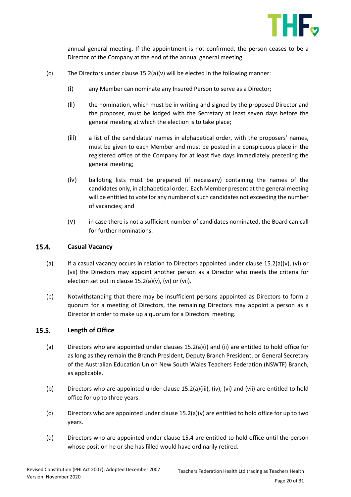

annual general meeting. If the appointment is not confirmed, the person ceases to be a Director of the Company at the end of the annual general meeting.

- (c) The Directors under clause  $15.2(a)(v)$  will be elected in the following manner:
	- (i) any Member can nominate any Insured Person to serve as a Director;
	- (ii) the nomination, which must be in writing and signed by the proposed Director and the proposer, must be lodged with the Secretary at least seven days before the general meeting at which the election is to take place;
	- (iii) a list of the candidates' names in alphabetical order, with the proposers' names, must be given to each Member and must be posted in a conspicuous place in the registered office of the Company for at least five days immediately preceding the general meeting;
	- (iv) balloting lists must be prepared (if necessary) containing the names of the candidates only, in alphabetical order. Each Member present at the general meeting will be entitled to vote for any number of such candidates not exceeding the number of vacancies; and
	- (v) in case there is not a sufficient number of candidates nominated, the Board can call for further nominations.

#### $15.4.$ **Casual Vacancy**

- (a) If a casual vacancy occurs in relation to Directors appointed under clause  $15.2(a)(v)$ , (vi) or (vii) the Directors may appoint another person as a Director who meets the criteria for election set out in clause 15.2(a)(v), (vi) or (vii).
- (b) Notwithstanding that there may be insufficient persons appointed as Directors to form a quorum for a meeting of Directors, the remaining Directors may appoint a person as a Director in order to make up a quorum for a Directors' meeting.

#### $15.5.$ **Length of Office**

- (a) Directors who are appointed under clauses 15.2(a)(i) and (ii) are entitled to hold office for as long as they remain the Branch President, Deputy Branch President, or General Secretary of the Australian Education Union New South Wales Teachers Federation (NSWTF) Branch, as applicable.
- (b) Directors who are appointed under clause 15.2(a)(iii), (iv), (vi) and (vii) are entitled to hold office for up to three years.
- (c) Directors who are appointed under clause  $15.2(a)(v)$  are entitled to hold office for up to two years.
- (d) Directors who are appointed under clause 15.4 are entitled to hold office until the person whose position he or she has filled would have ordinarily retired.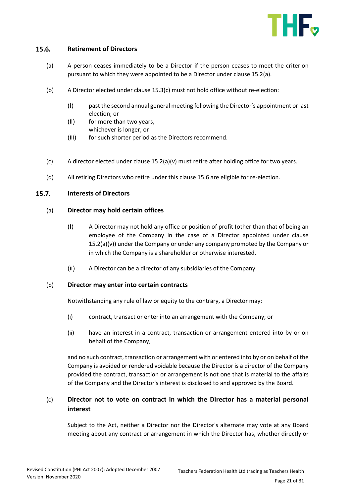

#### $15.6.$ **Retirement of Directors**

- (a) A person ceases immediately to be a Director if the person ceases to meet the criterion pursuant to which they were appointed to be a Director under clause 15.2(a).
- (b) A Director elected under clause 15.3(c) must not hold office without re-election:
	- (i) past the second annual general meeting following the Director's appointment or last election; or
	- (ii) for more than two years, whichever is longer; or
	- (iii) for such shorter period as the Directors recommend.
- (c) A director elected under clause  $15.2(a)(v)$  must retire after holding office for two years.
- (d) All retiring Directors who retire under this clause 15.6 are eligible for re-election.

#### $15.7.$ **Interests of Directors**

### (a) **Director may hold certain offices**

- (i) A Director may not hold any office or position of profit (other than that of being an employee of the Company in the case of a Director appointed under clause 15.2(a)(v)) under the Company or under any company promoted by the Company or in which the Company is a shareholder or otherwise interested.
- (ii) A Director can be a director of any subsidiaries of the Company.

### (b) **Director may enter into certain contracts**

Notwithstanding any rule of law or equity to the contrary, a Director may:

- (i) contract, transact or enter into an arrangement with the Company; or
- (ii) have an interest in a contract, transaction or arrangement entered into by or on behalf of the Company,

and no such contract, transaction or arrangement with or entered into by or on behalf of the Company is avoided or rendered voidable because the Director is a director of the Company provided the contract, transaction or arrangement is not one that is material to the affairs of the Company and the Director's interest is disclosed to and approved by the Board.

# (c) **Director not to vote on contract in which the Director has a material personal interest**

Subject to the Act, neither a Director nor the Director's alternate may vote at any Board meeting about any contract or arrangement in which the Director has, whether directly or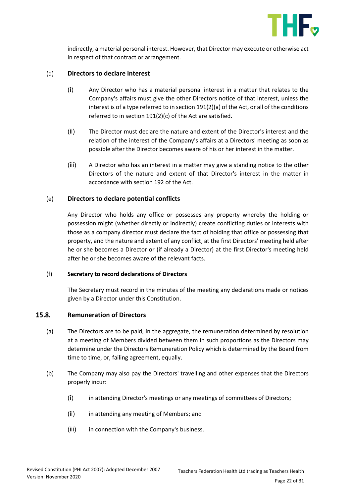

indirectly, a material personal interest. However, that Director may execute or otherwise act in respect of that contract or arrangement.

### (d) **Directors to declare interest**

- (i) Any Director who has a material personal interest in a matter that relates to the Company's affairs must give the other Directors notice of that interest, unless the interest is of a type referred to in section 191(2)(a) of the Act, or all of the conditions referred to in section 191(2)(c) of the Act are satisfied.
- (ii) The Director must declare the nature and extent of the Director's interest and the relation of the interest of the Company's affairs at a Directors' meeting as soon as possible after the Director becomes aware of his or her interest in the matter.
- (iii) A Director who has an interest in a matter may give a standing notice to the other Directors of the nature and extent of that Director's interest in the matter in accordance with section 192 of the Act.

### (e) **Directors to declare potential conflicts**

Any Director who holds any office or possesses any property whereby the holding or possession might (whether directly or indirectly) create conflicting duties or interests with those as a company director must declare the fact of holding that office or possessing that property, and the nature and extent of any conflict, at the first Directors' meeting held after he or she becomes a Director or (if already a Director) at the first Director's meeting held after he or she becomes aware of the relevant facts.

### (f) **Secretary to record declarations of Directors**

The Secretary must record in the minutes of the meeting any declarations made or notices given by a Director under this Constitution.

#### 15.8. **Remuneration of Directors**

- (a) The Directors are to be paid, in the aggregate, the remuneration determined by resolution at a meeting of Members divided between them in such proportions as the Directors may determine under the Directors Remuneration Policy which is determined by the Board from time to time, or, failing agreement, equally.
- (b) The Company may also pay the Directors' travelling and other expenses that the Directors properly incur:
	- (i) in attending Director's meetings or any meetings of committees of Directors;
	- (ii) in attending any meeting of Members; and
	- (iii) in connection with the Company's business.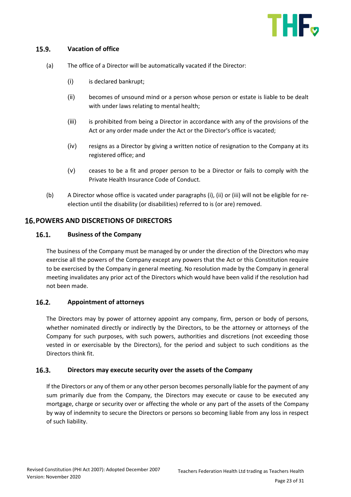

#### $15.9.$ **Vacation of office**

- (a) The office of a Director will be automatically vacated if the Director:
	- (i) is declared bankrupt;
	- (ii) becomes of unsound mind or a person whose person or estate is liable to be dealt with under laws relating to mental health;
	- (iii) is prohibited from being a Director in accordance with any of the provisions of the Act or any order made under the Act or the Director's office is vacated;
	- (iv) resigns as a Director by giving a written notice of resignation to the Company at its registered office; and
	- (v) ceases to be a fit and proper person to be a Director or fails to comply with the Private Health Insurance Code of Conduct.
- (b) A Director whose office is vacated under paragraphs (i), (ii) or (iii) will not be eligible for reelection until the disability (or disabilities) referred to is (or are) removed.

### <span id="page-22-0"></span>**POWERS AND DISCRETIONS OF DIRECTORS**

#### $16.1.$ **Business of the Company**

The business of the Company must be managed by or under the direction of the Directors who may exercise all the powers of the Company except any powers that the Act or this Constitution require to be exercised by the Company in general meeting. No resolution made by the Company in general meeting invalidates any prior act of the Directors which would have been valid if the resolution had not been made.

#### $16.2.$ **Appointment of attorneys**

The Directors may by power of attorney appoint any company, firm, person or body of persons, whether nominated directly or indirectly by the Directors, to be the attorney or attorneys of the Company for such purposes, with such powers, authorities and discretions (not exceeding those vested in or exercisable by the Directors), for the period and subject to such conditions as the Directors think fit.

#### $16.3.$ **Directors may execute security over the assets of the Company**

If the Directors or any of them or any other person becomes personally liable for the payment of any sum primarily due from the Company, the Directors may execute or cause to be executed any mortgage, charge or security over or affecting the whole or any part of the assets of the Company by way of indemnity to secure the Directors or persons so becoming liable from any loss in respect of such liability.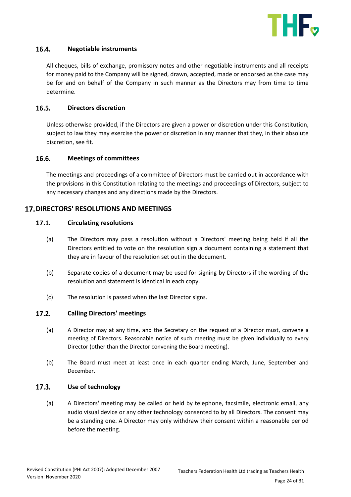

#### $16.4.$ **Negotiable instruments**

All cheques, bills of exchange, promissory notes and other negotiable instruments and all receipts for money paid to the Company will be signed, drawn, accepted, made or endorsed as the case may be for and on behalf of the Company in such manner as the Directors may from time to time determine.

#### $16.5.$ **Directors discretion**

Unless otherwise provided, if the Directors are given a power or discretion under this Constitution, subject to law they may exercise the power or discretion in any manner that they, in their absolute discretion, see fit.

#### 16.6. **Meetings of committees**

The meetings and proceedings of a committee of Directors must be carried out in accordance with the provisions in this Constitution relating to the meetings and proceedings of Directors, subject to any necessary changes and any directions made by the Directors.

### <span id="page-23-0"></span>**17. DIRECTORS' RESOLUTIONS AND MEETINGS**

#### $17.1.$ **Circulating resolutions**

- (a) The Directors may pass a resolution without a Directors' meeting being held if all the Directors entitled to vote on the resolution sign a document containing a statement that they are in favour of the resolution set out in the document.
- (b) Separate copies of a document may be used for signing by Directors if the wording of the resolution and statement is identical in each copy.
- (c) The resolution is passed when the last Director signs.

#### $17.2.$ **Calling Directors' meetings**

- (a) A Director may at any time, and the Secretary on the request of a Director must, convene a meeting of Directors. Reasonable notice of such meeting must be given individually to every Director (other than the Director convening the Board meeting).
- (b) The Board must meet at least once in each quarter ending March, June, September and December.

#### $17.3.$ **Use of technology**

(a) A Directors' meeting may be called or held by telephone, facsimile, electronic email, any audio visual device or any other technology consented to by all Directors. The consent may be a standing one. A Director may only withdraw their consent within a reasonable period before the meeting.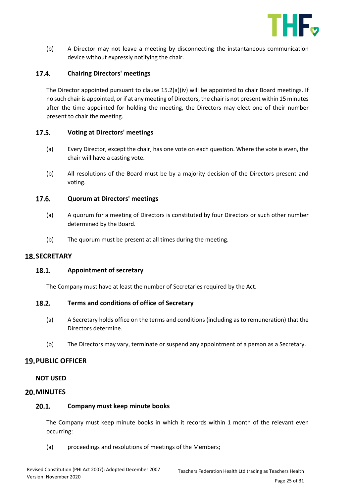

(b) A Director may not leave a meeting by disconnecting the instantaneous communication device without expressly notifying the chair.

#### $17.4.$ **Chairing Directors' meetings**

The Director appointed pursuant to clause 15.2(a)(iv) will be appointed to chair Board meetings. If no such chair is appointed, or if at any meeting of Directors, the chair is not present within 15 minutes after the time appointed for holding the meeting, the Directors may elect one of their number present to chair the meeting.

### $17.5.$ **Voting at Directors' meetings**

- (a) Every Director, except the chair, has one vote on each question. Where the vote is even, the chair will have a casting vote.
- (b) All resolutions of the Board must be by a majority decision of the Directors present and voting.

#### $17.6.$ **Quorum at Directors' meetings**

- (a) A quorum for a meeting of Directors is constituted by four Directors or such other number determined by the Board.
- (b) The quorum must be present at all times during the meeting.

# <span id="page-24-0"></span>**18. SECRETARY**

#### 18.1. **Appointment of secretary**

The Company must have at least the number of Secretaries required by the Act.

#### $18.2.$ **Terms and conditions of office of Secretary**

- (a) A Secretary holds office on the terms and conditions (including as to remuneration) that the Directors determine.
- (b) The Directors may vary, terminate or suspend any appointment of a person as a Secretary.

### <span id="page-24-1"></span>**PUBLIC OFFICER**

### **NOT USED**

### <span id="page-24-2"></span>**20. MINUTES**

### $20.1.$ **Company must keep minute books**

The Company must keep minute books in which it records within 1 month of the relevant even occurring:

(a) proceedings and resolutions of meetings of the Members;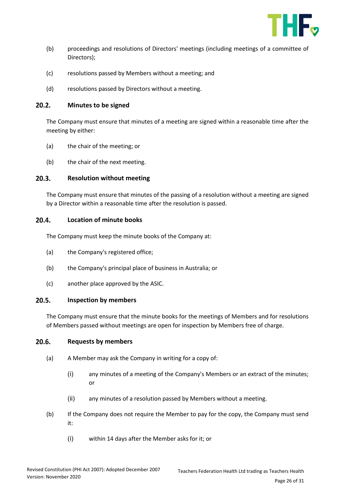

- (b) proceedings and resolutions of Directors' meetings (including meetings of a committee of Directors);
- (c) resolutions passed by Members without a meeting; and
- (d) resolutions passed by Directors without a meeting.

#### $20.2.$ **Minutes to be signed**

The Company must ensure that minutes of a meeting are signed within a reasonable time after the meeting by either:

- (a) the chair of the meeting; or
- (b) the chair of the next meeting.

#### $20.3.$ **Resolution without meeting**

The Company must ensure that minutes of the passing of a resolution without a meeting are signed by a Director within a reasonable time after the resolution is passed.

#### $20.4.$ **Location of minute books**

The Company must keep the minute books of the Company at:

- (a) the Company's registered office;
- (b) the Company's principal place of business in Australia; or
- (c) another place approved by the ASIC.

#### $20.5.$ **Inspection by members**

The Company must ensure that the minute books for the meetings of Members and for resolutions of Members passed without meetings are open for inspection by Members free of charge.

#### $20.6.$ **Requests by members**

- (a) A Member may ask the Company in writing for a copy of:
	- (i) any minutes of a meeting of the Company's Members or an extract of the minutes; or
	- (ii) any minutes of a resolution passed by Members without a meeting.
- (b) If the Company does not require the Member to pay for the copy, the Company must send it:
	- (i) within 14 days after the Member asks for it; or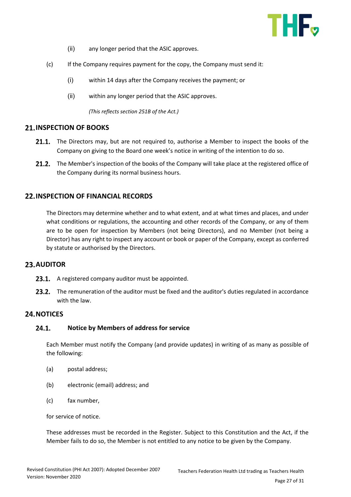

- (ii) any longer period that the ASIC approves.
- (c) If the Company requires payment for the copy, the Company must send it:
	- (i) within 14 days after the Company receives the payment; or
	- (ii) within any longer period that the ASIC approves.

*(This reflects section 251B of the Act.)*

### <span id="page-26-0"></span>**21. INSPECTION OF BOOKS**

- 21.1. The Directors may, but are not required to, authorise a Member to inspect the books of the Company on giving to the Board one week's notice in writing of the intention to do so.
- 21.2. The Member's inspection of the books of the Company will take place at the registered office of the Company during its normal business hours.

### <span id="page-26-1"></span>**22. INSPECTION OF FINANCIAL RECORDS**

The Directors may determine whether and to what extent, and at what times and places, and under what conditions or regulations, the accounting and other records of the Company, or any of them are to be open for inspection by Members (not being Directors), and no Member (not being a Director) has any right to inspect any account or book or paper of the Company, except as conferred by statute or authorised by the Directors.

### <span id="page-26-2"></span>**AUDITOR**

- 23.1. A registered company auditor must be appointed.
- 23.2. The remuneration of the auditor must be fixed and the auditor's duties regulated in accordance with the law.

### <span id="page-26-3"></span>24. NOTICES

#### $24.1.$ **Notice by Members of address for service**

Each Member must notify the Company (and provide updates) in writing of as many as possible of the following:

- (a) postal address;
- (b) electronic (email) address; and
- (c) fax number,

for service of notice.

These addresses must be recorded in the Register. Subject to this Constitution and the Act, if the Member fails to do so, the Member is not entitled to any notice to be given by the Company.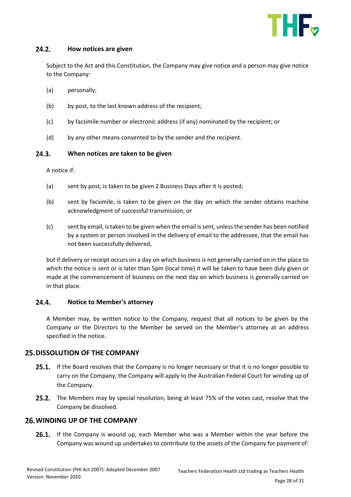

#### $24.2.$ **How notices are given**

Subject to the Act and this Constitution, the Company may give notice and a person may give notice to the Company:

- (a) personally;
- (b) by post, to the last known address of the recipient;
- (c) by facsimile number or electronic address (if any) nominated by the recipient; or
- (d) by any other means consented to by the sender and the recipient.

#### $24.3.$ **When notices are taken to be given**

A notice if:

- (a) sent by post, is taken to be given 2 Business Days after it is posted;
- (b) sent by facsimile, is taken to be given on the day on which the sender obtains machine acknowledgment of successful transmission; or
- (c) sent by email, is taken to be given when the email is sent, unless the sender has been notified by a system or person involved in the delivery of email to the addressee, that the email has not been successfully delivered,

but if delivery or receipt occurs on a day on which business is not generally carried on in the place to which the notice is sent or is later than 5pm (local time) it will be taken to have been duly given or made at the commencement of business on the next day on which business is generally carried on in that place.

#### $24.4.$ **Notice to Member's attorney**

A Member may, by written notice to the Company, request that all notices to be given by the Company or the Directors to the Member be served on the Member's attorney at an address specified in the notice.

### <span id="page-27-0"></span>**25. DISSOLUTION OF THE COMPANY**

- 25.1. If the Board resolves that the Company is no longer necessary or that it is no longer possible to carry on the Company, the Company will apply to the Australian Federal Court for winding up of the Company.
- **25.2.** The Members may by special resolution, being at least 75% of the votes cast, resolve that the Company be dissolved.

### <span id="page-27-1"></span>**WINDING UP OF THE COMPANY**

**26.1.** If the Company is wound up, each Member who was a Member within the year before the Company was wound up undertakes to contribute to the assets of the Company for payment of: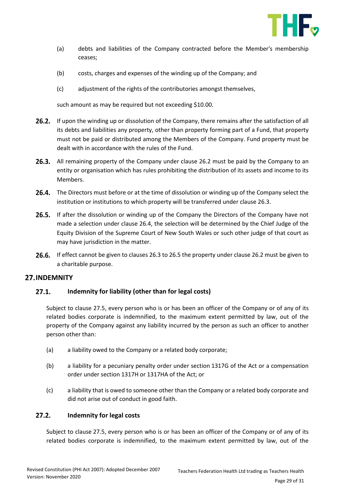

- (a) debts and liabilities of the Company contracted before the Member's membership ceases;
- (b) costs, charges and expenses of the winding up of the Company; and
- (c) adjustment of the rights of the contributories amongst themselves,

such amount as may be required but not exceeding \$10.00.

- **26.2.** If upon the winding up or dissolution of the Company, there remains after the satisfaction of all its debts and liabilities any property, other than property forming part of a Fund, that property must not be paid or distributed among the Members of the Company. Fund property must be dealt with in accordance with the rules of the Fund.
- 26.3. All remaining property of the Company under clause 26.2 must be paid by the Company to an entity or organisation which has rules prohibiting the distribution of its assets and income to its Members.
- **26.4.** The Directors must before or at the time of dissolution or winding up of the Company select the institution or institutions to which property will be transferred under clause 26.3.
- **26.5.** If after the dissolution or winding up of the Company the Directors of the Company have not made a selection under clause 26.4, the selection will be determined by the Chief Judge of the Equity Division of the Supreme Court of New South Wales or such other judge of that court as may have jurisdiction in the matter.
- 26.6. If effect cannot be given to clauses 26.3 to 26.5 the property under clause 26.2 must be given to a charitable purpose.

# <span id="page-28-0"></span>**27. INDEMNITY**

### $27.1.$ **Indemnity for liability (other than for legal costs)**

Subject to clause 27.5, every person who is or has been an officer of the Company or of any of its related bodies corporate is indemnified, to the maximum extent permitted by law, out of the property of the Company against any liability incurred by the person as such an officer to another person other than:

- (a) a liability owed to the Company or a related body corporate;
- (b) a liability for a pecuniary penalty order under section 1317G of the Act or a compensation order under section 1317H or 1317HA of the Act; or
- (c) a liability that is owed to someone other than the Company or a related body corporate and did not arise out of conduct in good faith.

### $27.2.$ **Indemnity for legal costs**

Subject to clause 27.5, every person who is or has been an officer of the Company or of any of its related bodies corporate is indemnified, to the maximum extent permitted by law, out of the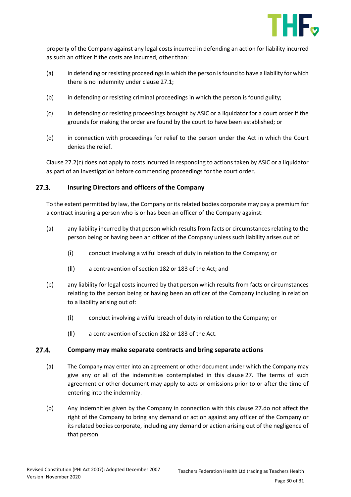

property of the Company against any legal costs incurred in defending an action for liability incurred as such an officer if the costs are incurred, other than:

- (a) in defending or resisting proceedings in which the person is found to have a liability for which there is no indemnity under clause 27.1;
- (b) in defending or resisting criminal proceedings in which the person is found guilty;
- (c) in defending or resisting proceedings brought by ASIC or a liquidator for a court order if the grounds for making the order are found by the court to have been established; or
- (d) in connection with proceedings for relief to the person under the Act in which the Court denies the relief.

Clause 27.2(c) does not apply to costs incurred in responding to actions taken by ASIC or a liquidator as part of an investigation before commencing proceedings for the court order.

#### $27.3.$ **Insuring Directors and officers of the Company**

To the extent permitted by law, the Company or its related bodies corporate may pay a premium for a contract insuring a person who is or has been an officer of the Company against:

- (a) any liability incurred by that person which results from facts or circumstances relating to the person being or having been an officer of the Company unless such liability arises out of:
	- (i) conduct involving a wilful breach of duty in relation to the Company; or
	- (ii) a contravention of section 182 or 183 of the Act; and
- (b) any liability for legal costs incurred by that person which results from facts or circumstances relating to the person being or having been an officer of the Company including in relation to a liability arising out of:
	- (i) conduct involving a wilful breach of duty in relation to the Company; or
	- (ii) a contravention of section 182 or 183 of the Act.

#### $27.4.$ **Company may make separate contracts and bring separate actions**

- (a) The Company may enter into an agreement or other document under which the Company may give any or all of the indemnities contemplated in this clause 27. The terms of such agreement or other document may apply to acts or omissions prior to or after the time of entering into the indemnity.
- (b) Any indemnities given by the Company in connection with this clause 27.do not affect the right of the Company to bring any demand or action against any officer of the Company or its related bodies corporate, including any demand or action arising out of the negligence of that person.